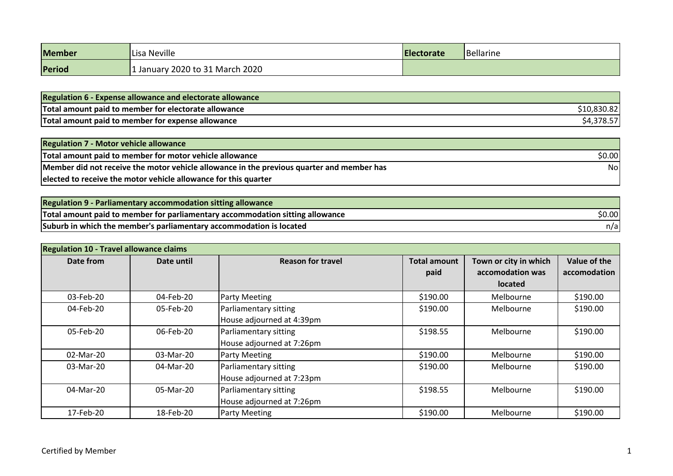| <b>Member</b> | Lisa Neville                  | <b>Electorate</b> | Bellarine |
|---------------|-------------------------------|-------------------|-----------|
| Period        | January 2020 to 31 March 2020 |                   |           |

| <b>Regulation 6 - Expense allowance and electorate allowance</b> |  |
|------------------------------------------------------------------|--|
| Total amount paid to member for electorate allowance             |  |
| Total amount paid to member for expense allowance                |  |

| <b>Regulation 7 - Motor vehicle allowance</b>                                             |        |
|-------------------------------------------------------------------------------------------|--------|
| Total amount paid to member for motor vehicle allowance                                   | \$0.00 |
| Member did not receive the motor vehicle allowance in the previous quarter and member has | Nol    |
| elected to receive the motor vehicle allowance for this quarter                           |        |

| <b>Regulation 9 - Parliamentary accommodation sitting allowance</b>           |        |
|-------------------------------------------------------------------------------|--------|
| Total amount paid to member for parliamentary accommodation sitting allowance | \$0.00 |
| Suburb in which the member's parliamentary accommodation is located           | n/a    |

| <b>Regulation 10 - Travel allowance claims</b> |            |                                                    |                             |                                                             |                              |
|------------------------------------------------|------------|----------------------------------------------------|-----------------------------|-------------------------------------------------------------|------------------------------|
| Date from                                      | Date until | <b>Reason for travel</b>                           | <b>Total amount</b><br>paid | Town or city in which<br>accomodation was<br><b>located</b> | Value of the<br>accomodation |
| 03-Feb-20                                      | 04-Feb-20  | <b>Party Meeting</b>                               | \$190.00                    | Melbourne                                                   | \$190.00                     |
| 04-Feb-20                                      | 05-Feb-20  | Parliamentary sitting<br>House adjourned at 4:39pm | \$190.00                    | Melbourne                                                   | \$190.00                     |
| 05-Feb-20                                      | 06-Feb-20  | Parliamentary sitting<br>House adjourned at 7:26pm | \$198.55                    | Melbourne                                                   | \$190.00                     |
| 02-Mar-20                                      | 03-Mar-20  | Party Meeting                                      | \$190.00                    | Melbourne                                                   | \$190.00                     |
| 03-Mar-20                                      | 04-Mar-20  | Parliamentary sitting<br>House adjourned at 7:23pm | \$190.00                    | Melbourne                                                   | \$190.00                     |
| 04-Mar-20                                      | 05-Mar-20  | Parliamentary sitting<br>House adjourned at 7:26pm | \$198.55                    | Melbourne                                                   | \$190.00                     |
| 17-Feb-20                                      | 18-Feb-20  | <b>Party Meeting</b>                               | \$190.00                    | Melbourne                                                   | \$190.00                     |